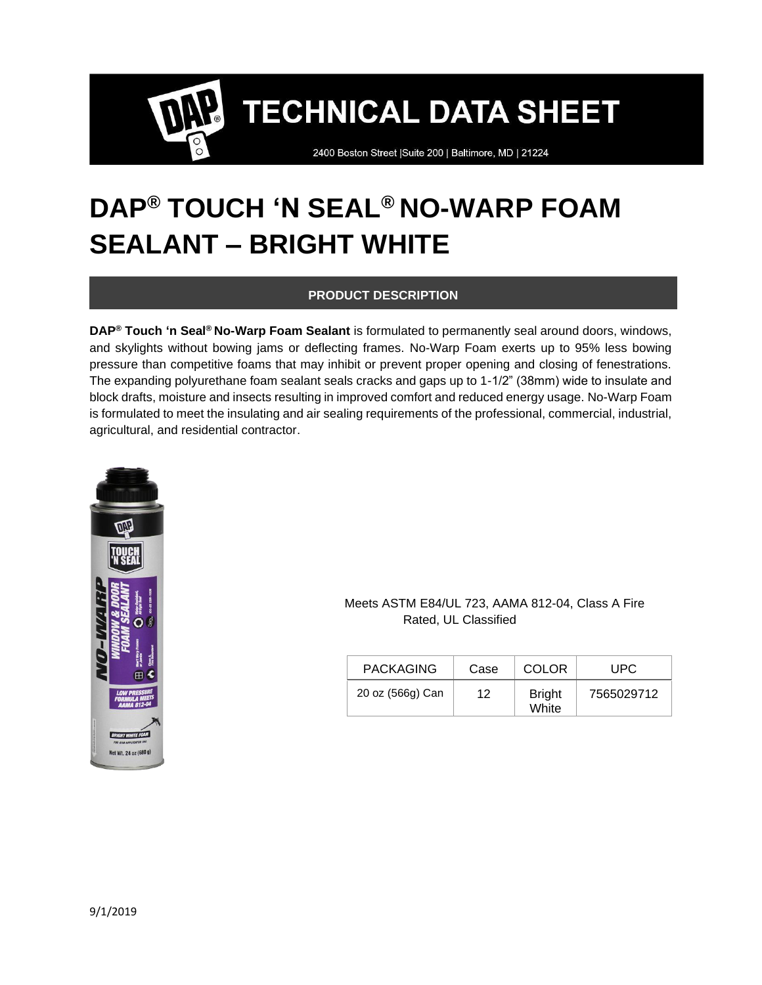2400 Boston Street | Suite 200 | Baltimore, MD | 21224

## **DAP® TOUCH 'N SEAL® NO-WARP FOAM SEALANT – BRIGHT WHITE**

### **PRODUCT DESCRIPTION**

**DAP® Touch 'n Seal® No-Warp Foam Sealant** is formulated to permanently seal around doors, windows, and skylights without bowing jams or deflecting frames. No-Warp Foam exerts up to 95% less bowing pressure than competitive foams that may inhibit or prevent proper opening and closing of fenestrations. The expanding polyurethane foam sealant seals cracks and gaps up to 1-1/2" (38mm) wide to insulate and block drafts, moisture and insects resulting in improved comfort and reduced energy usage. No-Warp Foam is formulated to meet the insulating and air sealing requirements of the professional, commercial, industrial, agricultural, and residential contractor.



#### Meets ASTM E84/UL 723, AAMA 812-04, Class A Fire Rated, UL Classified

| <b>PACKAGING</b> | Case | <b>COLOR</b>           | UPC        |
|------------------|------|------------------------|------------|
| 20 oz (566g) Can | 12   | <b>Bright</b><br>White | 7565029712 |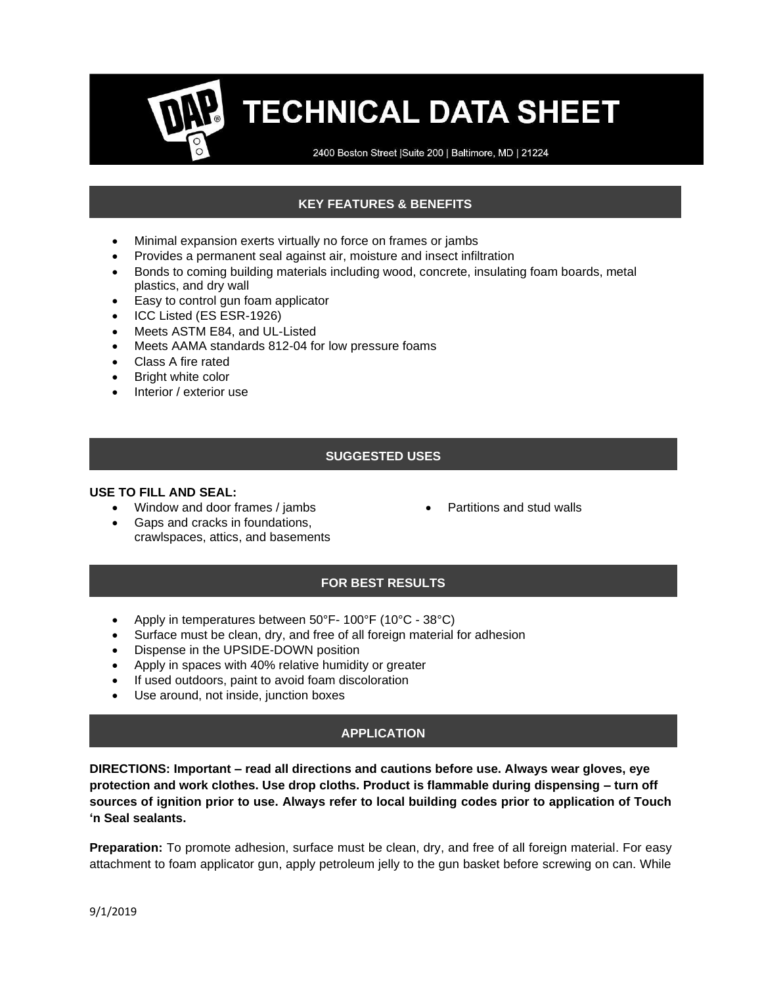2400 Boston Street | Suite 200 | Baltimore, MD | 21224

### **KEY FEATURES & BENEFITS**

- Minimal expansion exerts virtually no force on frames or jambs
- Provides a permanent seal against air, moisture and insect infiltration
- Bonds to coming building materials including wood, concrete, insulating foam boards, metal plastics, and dry wall
- Easy to control gun foam applicator
- ICC Listed (ES ESR-1926)
- Meets ASTM E84, and UL-Listed
- Meets AAMA standards 812-04 for low pressure foams
- Class A fire rated
- Bright white color
- Interior / exterior use

#### **SUGGESTED USES**

#### **USE TO FILL AND SEAL:**

- Window and door frames / jambs
- Gaps and cracks in foundations, crawlspaces, attics, and basements
- Partitions and stud walls

#### **FOR BEST RESULTS**

- Apply in temperatures between 50°F- 100°F (10°C 38°C)
- Surface must be clean, dry, and free of all foreign material for adhesion
- Dispense in the UPSIDE-DOWN position
- Apply in spaces with 40% relative humidity or greater
- If used outdoors, paint to avoid foam discoloration
- Use around, not inside, junction boxes

#### **APPLICATION**

**DIRECTIONS: Important – read all directions and cautions before use. Always wear gloves, eye protection and work clothes. Use drop cloths. Product is flammable during dispensing – turn off sources of ignition prior to use. Always refer to local building codes prior to application of Touch 'n Seal sealants.** 

**Preparation:** To promote adhesion, surface must be clean, dry, and free of all foreign material. For easy attachment to foam applicator gun, apply petroleum jelly to the gun basket before screwing on can. While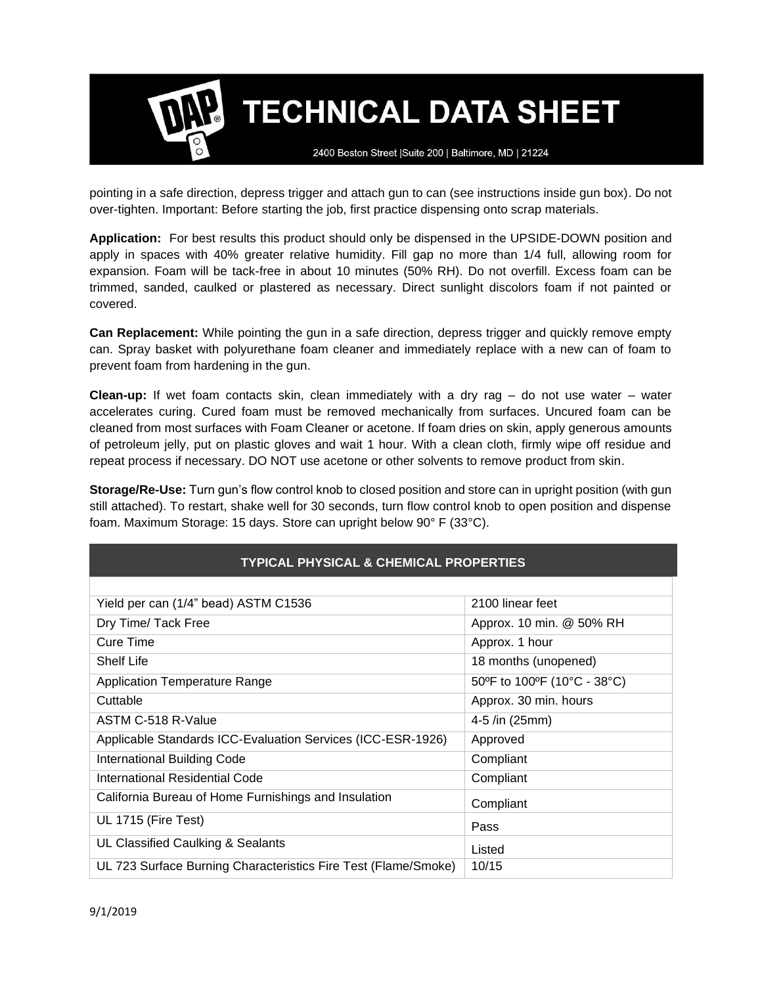2400 Boston Street | Suite 200 | Baltimore, MD | 21224

pointing in a safe direction, depress trigger and attach gun to can (see instructions inside gun box). Do not over-tighten. Important: Before starting the job, first practice dispensing onto scrap materials.

**Application:** For best results this product should only be dispensed in the UPSIDE-DOWN position and apply in spaces with 40% greater relative humidity. Fill gap no more than 1/4 full, allowing room for expansion. Foam will be tack-free in about 10 minutes (50% RH). Do not overfill. Excess foam can be trimmed, sanded, caulked or plastered as necessary. Direct sunlight discolors foam if not painted or covered.

**Can Replacement:** While pointing the gun in a safe direction, depress trigger and quickly remove empty can. Spray basket with polyurethane foam cleaner and immediately replace with a new can of foam to prevent foam from hardening in the gun.

**Clean-up:** If wet foam contacts skin, clean immediately with a dry rag – do not use water – water accelerates curing. Cured foam must be removed mechanically from surfaces. Uncured foam can be cleaned from most surfaces with Foam Cleaner or acetone. If foam dries on skin, apply generous amounts of petroleum jelly, put on plastic gloves and wait 1 hour. With a clean cloth, firmly wipe off residue and repeat process if necessary. DO NOT use acetone or other solvents to remove product from skin.

**Storage/Re-Use:** Turn gun's flow control knob to closed position and store can in upright position (with gun still attached). To restart, shake well for 30 seconds, turn flow control knob to open position and dispense foam. Maximum Storage: 15 days. Store can upright below 90° F (33°C).

| <b>TYPICAL PHYSICAL &amp; CHEMICAL PROPERTIES</b>              |                             |  |  |
|----------------------------------------------------------------|-----------------------------|--|--|
|                                                                |                             |  |  |
| Yield per can (1/4" bead) ASTM C1536                           | 2100 linear feet            |  |  |
| Dry Time/ Tack Free                                            | Approx. 10 min. @ 50% RH    |  |  |
| Cure Time                                                      | Approx. 1 hour              |  |  |
| Shelf Life                                                     | 18 months (unopened)        |  |  |
| <b>Application Temperature Range</b>                           | 50°F to 100°F (10°C - 38°C) |  |  |
| Cuttable                                                       | Approx. 30 min. hours       |  |  |
| ASTM C-518 R-Value                                             | 4-5 /in (25mm)              |  |  |
| Applicable Standards ICC-Evaluation Services (ICC-ESR-1926)    | Approved                    |  |  |
| International Building Code                                    | Compliant                   |  |  |
| International Residential Code                                 | Compliant                   |  |  |
| California Bureau of Home Furnishings and Insulation           | Compliant                   |  |  |
| UL 1715 (Fire Test)                                            | Pass                        |  |  |
| UL Classified Caulking & Sealants                              | Listed                      |  |  |
| UL 723 Surface Burning Characteristics Fire Test (Flame/Smoke) | 10/15                       |  |  |